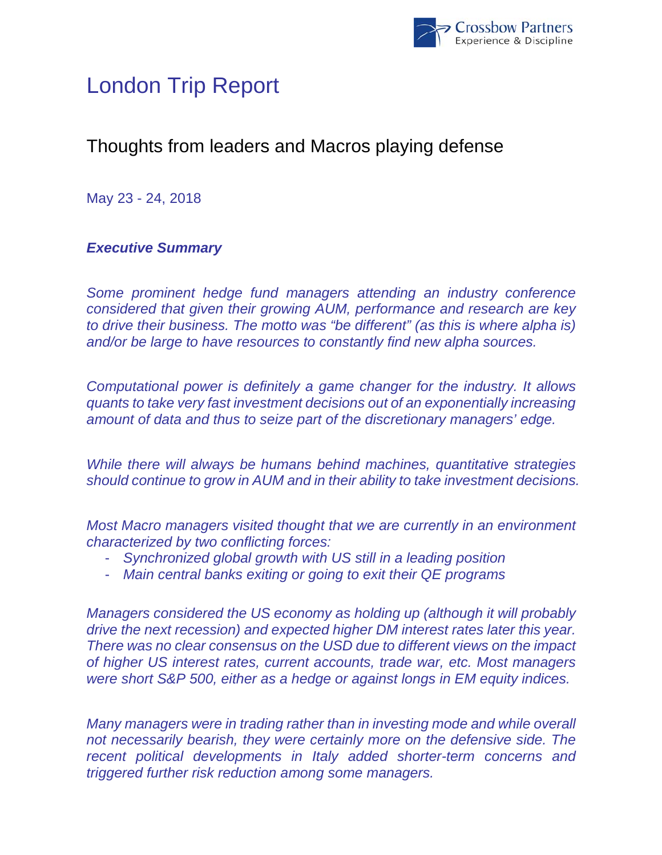

# London Trip Report

## Thoughts from leaders and Macros playing defense

May 23 - 24, 2018

## *Executive Summary*

*Some prominent hedge fund managers attending an industry conference considered that given their growing AUM, performance and research are key to drive their business. The motto was "be different" (as this is where alpha is) and/or be large to have resources to constantly find new alpha sources.* 

*Computational power is definitely a game changer for the industry. It allows quants to take very fast investment decisions out of an exponentially increasing amount of data and thus to seize part of the discretionary managers' edge.* 

*While there will always be humans behind machines, quantitative strategies should continue to grow in AUM and in their ability to take investment decisions.* 

*Most Macro managers visited thought that we are currently in an environment characterized by two conflicting forces:* 

- *Synchronized global growth with US still in a leading position*
- *Main central banks exiting or going to exit their QE programs*

*Managers considered the US economy as holding up (although it will probably drive the next recession) and expected higher DM interest rates later this year. There was no clear consensus on the USD due to different views on the impact of higher US interest rates, current accounts, trade war, etc. Most managers were short S&P 500, either as a hedge or against longs in EM equity indices.* 

*Many managers were in trading rather than in investing mode and while overall not necessarily bearish, they were certainly more on the defensive side. The recent political developments in Italy added shorter-term concerns and triggered further risk reduction among some managers.*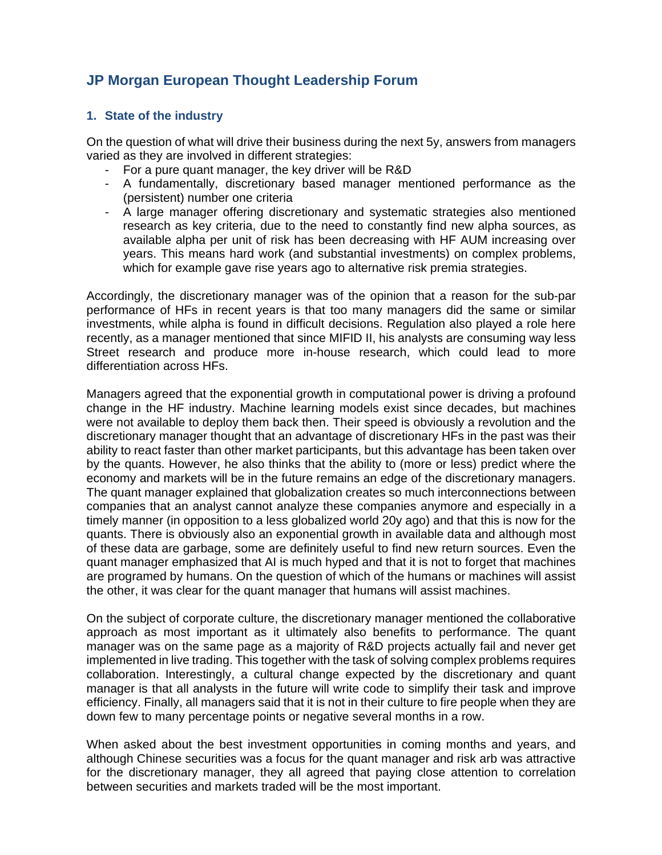## **JP Morgan European Thought Leadership Forum**

#### **1. State of the industry**

On the question of what will drive their business during the next 5y, answers from managers varied as they are involved in different strategies:

- For a pure quant manager, the key driver will be R&D
- A fundamentally, discretionary based manager mentioned performance as the (persistent) number one criteria
- A large manager offering discretionary and systematic strategies also mentioned research as key criteria, due to the need to constantly find new alpha sources, as available alpha per unit of risk has been decreasing with HF AUM increasing over years. This means hard work (and substantial investments) on complex problems, which for example gave rise years ago to alternative risk premia strategies.

Accordingly, the discretionary manager was of the opinion that a reason for the sub-par performance of HFs in recent years is that too many managers did the same or similar investments, while alpha is found in difficult decisions. Regulation also played a role here recently, as a manager mentioned that since MIFID II, his analysts are consuming way less Street research and produce more in-house research, which could lead to more differentiation across HFs.

Managers agreed that the exponential growth in computational power is driving a profound change in the HF industry. Machine learning models exist since decades, but machines were not available to deploy them back then. Their speed is obviously a revolution and the discretionary manager thought that an advantage of discretionary HFs in the past was their ability to react faster than other market participants, but this advantage has been taken over by the quants. However, he also thinks that the ability to (more or less) predict where the economy and markets will be in the future remains an edge of the discretionary managers. The quant manager explained that globalization creates so much interconnections between companies that an analyst cannot analyze these companies anymore and especially in a timely manner (in opposition to a less globalized world 20y ago) and that this is now for the quants. There is obviously also an exponential growth in available data and although most of these data are garbage, some are definitely useful to find new return sources. Even the quant manager emphasized that AI is much hyped and that it is not to forget that machines are programed by humans. On the question of which of the humans or machines will assist the other, it was clear for the quant manager that humans will assist machines.

On the subject of corporate culture, the discretionary manager mentioned the collaborative approach as most important as it ultimately also benefits to performance. The quant manager was on the same page as a majority of R&D projects actually fail and never get implemented in live trading. This together with the task of solving complex problems requires collaboration. Interestingly, a cultural change expected by the discretionary and quant manager is that all analysts in the future will write code to simplify their task and improve efficiency. Finally, all managers said that it is not in their culture to fire people when they are down few to many percentage points or negative several months in a row.

When asked about the best investment opportunities in coming months and years, and although Chinese securities was a focus for the quant manager and risk arb was attractive for the discretionary manager, they all agreed that paying close attention to correlation between securities and markets traded will be the most important.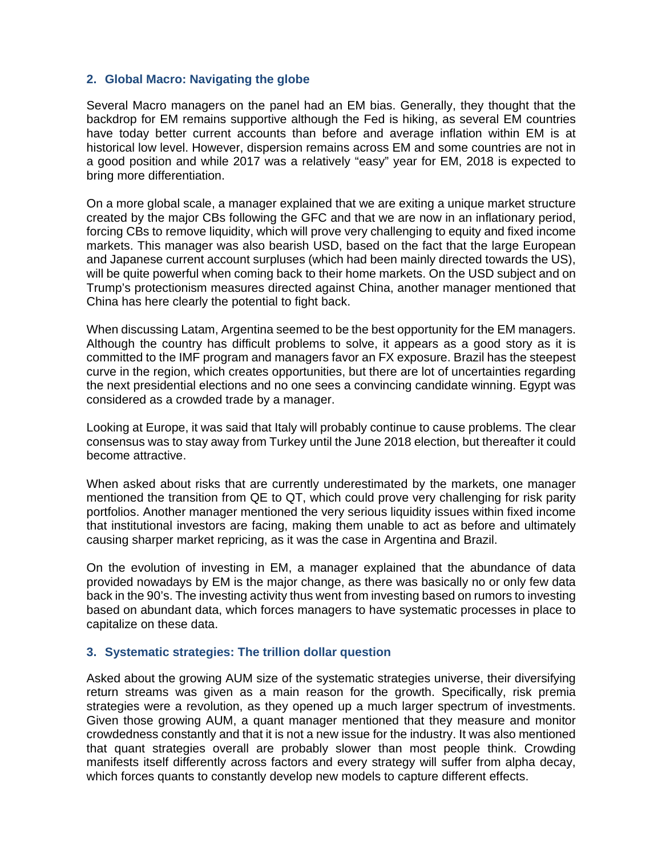#### **2. Global Macro: Navigating the globe**

Several Macro managers on the panel had an EM bias. Generally, they thought that the backdrop for EM remains supportive although the Fed is hiking, as several EM countries have today better current accounts than before and average inflation within EM is at historical low level. However, dispersion remains across EM and some countries are not in a good position and while 2017 was a relatively "easy" year for EM, 2018 is expected to bring more differentiation.

On a more global scale, a manager explained that we are exiting a unique market structure created by the major CBs following the GFC and that we are now in an inflationary period, forcing CBs to remove liquidity, which will prove very challenging to equity and fixed income markets. This manager was also bearish USD, based on the fact that the large European and Japanese current account surpluses (which had been mainly directed towards the US), will be quite powerful when coming back to their home markets. On the USD subject and on Trump's protectionism measures directed against China, another manager mentioned that China has here clearly the potential to fight back.

When discussing Latam, Argentina seemed to be the best opportunity for the EM managers. Although the country has difficult problems to solve, it appears as a good story as it is committed to the IMF program and managers favor an FX exposure. Brazil has the steepest curve in the region, which creates opportunities, but there are lot of uncertainties regarding the next presidential elections and no one sees a convincing candidate winning. Egypt was considered as a crowded trade by a manager.

Looking at Europe, it was said that Italy will probably continue to cause problems. The clear consensus was to stay away from Turkey until the June 2018 election, but thereafter it could become attractive.

When asked about risks that are currently underestimated by the markets, one manager mentioned the transition from QE to QT, which could prove very challenging for risk parity portfolios. Another manager mentioned the very serious liquidity issues within fixed income that institutional investors are facing, making them unable to act as before and ultimately causing sharper market repricing, as it was the case in Argentina and Brazil.

On the evolution of investing in EM, a manager explained that the abundance of data provided nowadays by EM is the major change, as there was basically no or only few data back in the 90's. The investing activity thus went from investing based on rumors to investing based on abundant data, which forces managers to have systematic processes in place to capitalize on these data.

#### **3. Systematic strategies: The trillion dollar question**

Asked about the growing AUM size of the systematic strategies universe, their diversifying return streams was given as a main reason for the growth. Specifically, risk premia strategies were a revolution, as they opened up a much larger spectrum of investments. Given those growing AUM, a quant manager mentioned that they measure and monitor crowdedness constantly and that it is not a new issue for the industry. It was also mentioned that quant strategies overall are probably slower than most people think. Crowding manifests itself differently across factors and every strategy will suffer from alpha decay, which forces quants to constantly develop new models to capture different effects.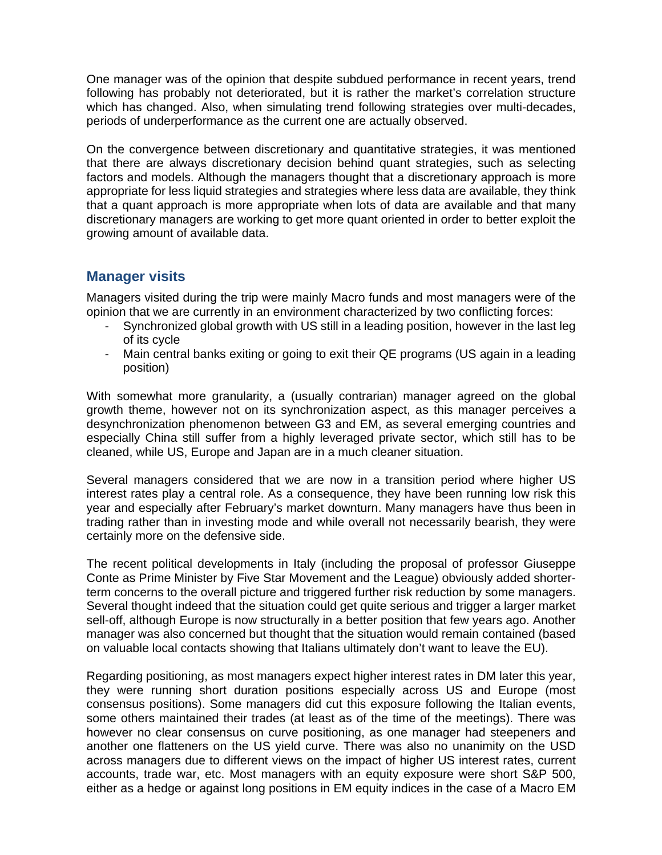One manager was of the opinion that despite subdued performance in recent years, trend following has probably not deteriorated, but it is rather the market's correlation structure which has changed. Also, when simulating trend following strategies over multi-decades, periods of underperformance as the current one are actually observed.

On the convergence between discretionary and quantitative strategies, it was mentioned that there are always discretionary decision behind quant strategies, such as selecting factors and models. Although the managers thought that a discretionary approach is more appropriate for less liquid strategies and strategies where less data are available, they think that a quant approach is more appropriate when lots of data are available and that many discretionary managers are working to get more quant oriented in order to better exploit the growing amount of available data.

#### **Manager visits**

Managers visited during the trip were mainly Macro funds and most managers were of the opinion that we are currently in an environment characterized by two conflicting forces:

- Synchronized global growth with US still in a leading position, however in the last leg of its cycle
- Main central banks exiting or going to exit their QE programs (US again in a leading position)

With somewhat more granularity, a (usually contrarian) manager agreed on the global growth theme, however not on its synchronization aspect, as this manager perceives a desynchronization phenomenon between G3 and EM, as several emerging countries and especially China still suffer from a highly leveraged private sector, which still has to be cleaned, while US, Europe and Japan are in a much cleaner situation.

Several managers considered that we are now in a transition period where higher US interest rates play a central role. As a consequence, they have been running low risk this year and especially after February's market downturn. Many managers have thus been in trading rather than in investing mode and while overall not necessarily bearish, they were certainly more on the defensive side.

The recent political developments in Italy (including the proposal of professor Giuseppe Conte as Prime Minister by Five Star Movement and the League) obviously added shorterterm concerns to the overall picture and triggered further risk reduction by some managers. Several thought indeed that the situation could get quite serious and trigger a larger market sell-off, although Europe is now structurally in a better position that few years ago. Another manager was also concerned but thought that the situation would remain contained (based on valuable local contacts showing that Italians ultimately don't want to leave the EU).

Regarding positioning, as most managers expect higher interest rates in DM later this year, they were running short duration positions especially across US and Europe (most consensus positions). Some managers did cut this exposure following the Italian events, some others maintained their trades (at least as of the time of the meetings). There was however no clear consensus on curve positioning, as one manager had steepeners and another one flatteners on the US yield curve. There was also no unanimity on the USD across managers due to different views on the impact of higher US interest rates, current accounts, trade war, etc. Most managers with an equity exposure were short S&P 500, either as a hedge or against long positions in EM equity indices in the case of a Macro EM